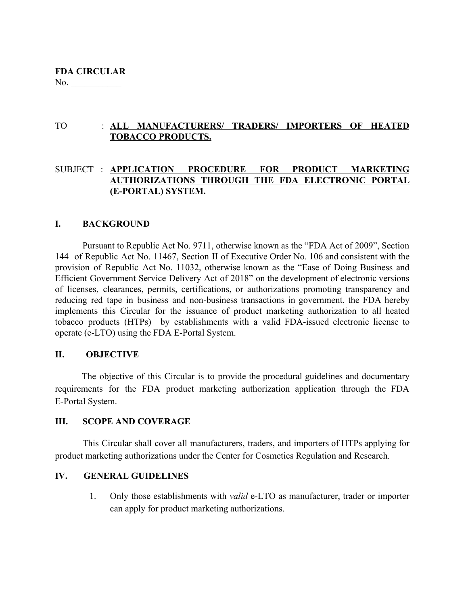## TO : **ALL MANUFACTURERS/ TRADERS/ IMPORTERS OF HEATED TOBACCO PRODUCTS.**

## SUBJECT : **APPLICATION PROCEDURE FOR PRODUCT MARKETING AUTHORIZATIONS THROUGH THE FDA ELECTRONIC PORTAL (E-PORTAL) SYSTEM.**

## **I. BACKGROUND**

Pursuant to Republic Act No. 9711, otherwise known as the "FDA Act of 2009", Section 144 of Republic Act No. 11467, Section II of Executive Order No. 106 and consistent with the provision of Republic Act No. 11032, otherwise known as the "Ease of Doing Business and Efficient Government Service Delivery Act of 2018" on the development of electronic versions of licenses, clearances, permits, certifications, or authorizations promoting transparency and reducing red tape in business and non-business transactions in government, the FDA hereby implements this Circular for the issuance of product marketing authorization to all heated tobacco products (HTPs) by establishments with a valid FDA-issued electronic license to operate (e-LTO) using the FDA E-Portal System.

## **II. OBJECTIVE**

The objective of this Circular is to provide the procedural guidelines and documentary requirements for the FDA product marketing authorization application through the FDA E-Portal System.

## **III. SCOPE AND COVERAGE**

This Circular shall cover all manufacturers, traders, and importers of HTPs applying for product marketing authorizations under the Center for Cosmetics Regulation and Research.

### **IV. GENERAL GUIDELINES**

1. Only those establishments with *valid* e-LTO as manufacturer, trader or importer can apply for product marketing authorizations.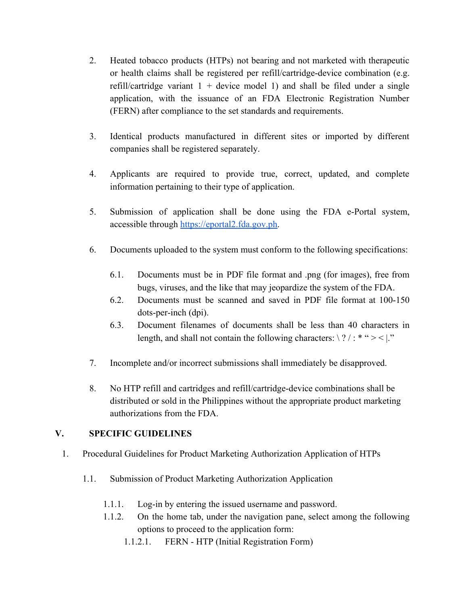- 2. Heated tobacco products (HTPs) not bearing and not marketed with therapeutic or health claims shall be registered per refill/cartridge-device combination (e.g. refill/cartridge variant  $1 +$  device model 1) and shall be filed under a single application, with the issuance of an FDA Electronic Registration Number (FERN) after compliance to the set standards and requirements.
- 3. Identical products manufactured in different sites or imported by different companies shall be registered separately.
- 4. Applicants are required to provide true, correct, updated, and complete information pertaining to their type of application.
- 5. Submission of application shall be done using the FDA e-Portal system, accessible through [https://eportal2.fda.gov.ph.](https://eportal2.fda.gov.ph/)
- 6. Documents uploaded to the system must conform to the following specifications:
	- 6.1. Documents must be in PDF file format and .png (for images), free from bugs, viruses, and the like that may jeopardize the system of the FDA.
	- 6.2. Documents must be scanned and saved in PDF file format at 100-150 dots-per-inch (dpi).
	- 6.3. Document filenames of documents shall be less than 40 characters in length, and shall not contain the following characters:  $\frac{2}{1}$  : \* " > < |."
- 7. Incomplete and/or incorrect submissions shall immediately be disapproved.
- 8. No HTP refill and cartridges and refill/cartridge-device combinations shall be distributed or sold in the Philippines without the appropriate product marketing authorizations from the FDA.

## **V. SPECIFIC GUIDELINES**

- 1. Procedural Guidelines for Product Marketing Authorization Application of HTPs
	- 1.1. Submission of Product Marketing Authorization Application
		- 1.1.1. Log-in by entering the issued username and password.
		- 1.1.2. On the home tab, under the navigation pane, select among the following options to proceed to the application form:
			- 1.1.2.1. FERN HTP (Initial Registration Form)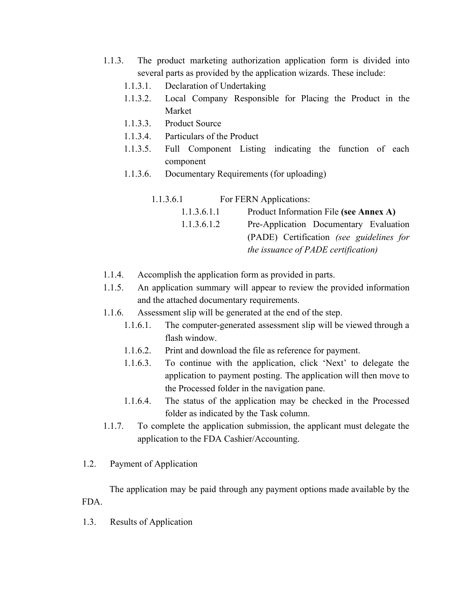- 1.1.3. The product marketing authorization application form is divided into several parts as provided by the application wizards. These include:
	- 1.1.3.1. Declaration of Undertaking
	- 1.1.3.2. Local Company Responsible for Placing the Product in the Market
	- 1.1.3.3. Product Source
	- 1.1.3.4. Particulars of the Product
	- 1.1.3.5. Full Component Listing indicating the function of each component
	- 1.1.3.6. Documentary Requirements (for uploading)

1.1.3.6.1 For FERN Applications: 1.1.3.6.1.1 Product Information File **(see Annex A)** 1.1.3.6.1.2 Pre-Application Documentary Evaluation (PADE) Certification *(see guidelines for the issuance of PADE certification)*

- 1.1.4. Accomplish the application form as provided in parts.
- 1.1.5. An application summary will appear to review the provided information and the attached documentary requirements.
- 1.1.6. Assessment slip will be generated at the end of the step.
	- 1.1.6.1. The computer-generated assessment slip will be viewed through a flash window.
	- 1.1.6.2. Print and download the file as reference for payment.
	- 1.1.6.3. To continue with the application, click 'Next' to delegate the application to payment posting. The application will then move to the Processed folder in the navigation pane.
	- 1.1.6.4. The status of the application may be checked in the Processed folder as indicated by the Task column.
- 1.1.7. To complete the application submission, the applicant must delegate the application to the FDA Cashier/Accounting.
- 1.2. Payment of Application

The application may be paid through any payment options made available by the FDA.

1.3. Results of Application